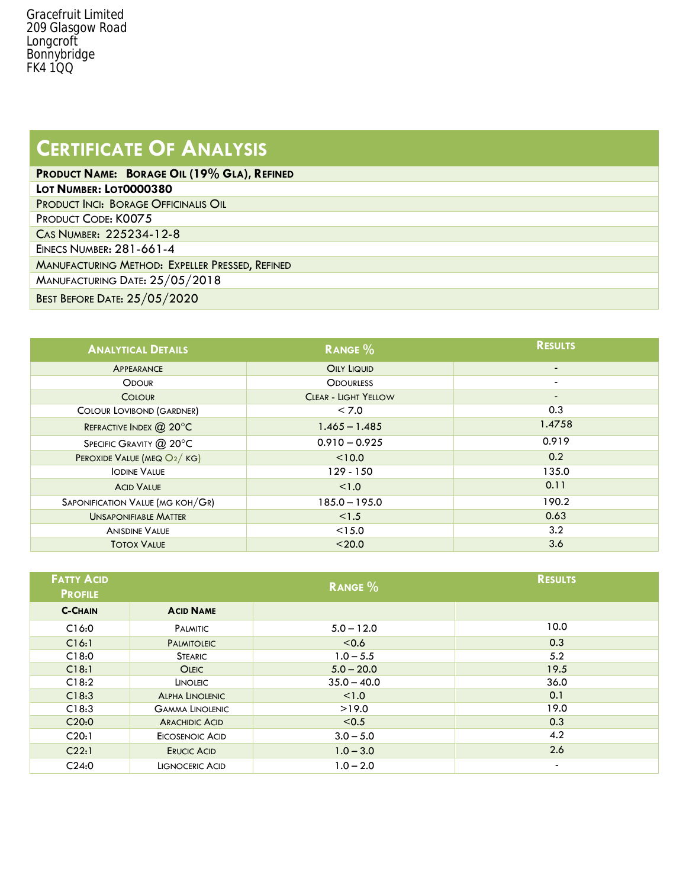## **CERTIFICATE OF ANALYSIS**

| PRODUCT NAME: BORAGE OIL (19% GLA), REFINED     |  |  |  |
|-------------------------------------------------|--|--|--|
| LOT NUMBER: LOT0000380                          |  |  |  |
| PRODUCT INCI: BORAGE OFFICINALIS OIL            |  |  |  |
| PRODUCT CODE: K0075                             |  |  |  |
| CAS NUMBER: 225234-12-8                         |  |  |  |
| EINECS NUMBER: 281-661-4                        |  |  |  |
| MANUFACTURING METHOD: EXPELLER PRESSED, REFINED |  |  |  |
| MANUFACTURING DATE: $25/05/2018$                |  |  |  |
| <b>BEST BEFORE DATE: 25/05/2020</b>             |  |  |  |
|                                                 |  |  |  |

| <b>ANALYTICAL DETAILS</b>        | <b>RANGE %</b>              | <b>RESULTS</b> |
|----------------------------------|-----------------------------|----------------|
| <b>APPEARANCE</b>                | <b>OILY LIQUID</b>          | $\blacksquare$ |
| <b>ODOUR</b>                     | <b>ODOURLESS</b>            | $\blacksquare$ |
| <b>COLOUR</b>                    | <b>CLEAR - LIGHT YELLOW</b> | $\blacksquare$ |
| COLOUR LOVIBOND (GARDNER)        | < 7.0                       | 0.3            |
| REFRACTIVE INDEX @ 20°C          | $1.465 - 1.485$             | 1.4758         |
| SPECIFIC GRAVITY @ 20°C          | $0.910 - 0.925$             | 0.919          |
| PEROXIDE VALUE (MEQ O2/KG)       | < 10.0                      | 0.2            |
| <b>IODINE VALUE</b>              | $129 - 150$                 | 135.0          |
| <b>ACID VALUE</b>                | < 1.0                       | 0.11           |
| SAPONIFICATION VALUE (MG KOH/GR) | $185.0 - 195.0$             | 190.2          |
| <b>UNSAPONIFIABLE MATTER</b>     | < 1.5                       | 0.63           |
| <b>ANISDINE VALUE</b>            | < 15.0                      | 3.2            |
| <b>TOTOX VALUE</b>               | < 20.0                      | 3.6            |

| <b>FATTY ACID</b><br><b>PROFILE</b> |                        | <b>RANGE %</b> | <b>RESULTS</b>           |
|-------------------------------------|------------------------|----------------|--------------------------|
| <b>C-CHAIN</b>                      | <b>ACID NAME</b>       |                |                          |
| C16:0                               | <b>PALMITIC</b>        | $5.0 - 12.0$   | 10.0                     |
| C16:1                               | <b>PALMITOLEIC</b>     | < 0.6          | 0.3                      |
| C18:0                               | <b>STEARIC</b>         | $1.0 - 5.5$    | 5.2                      |
| C18:1                               | <b>OLEIC</b>           | $5.0 - 20.0$   | 19.5                     |
| C18:2                               | <b>LINOLEIC</b>        | $35.0 - 40.0$  | 36.0                     |
| C18:3                               | <b>ALPHA LINOLENIC</b> | < 1.0          | 0.1                      |
| C18:3                               | <b>GAMMA LINOLENIC</b> | >19.0          | 19.0                     |
| C20:0                               | <b>ARACHIDIC ACID</b>  | < 0.5          | 0.3                      |
| C20:1                               | EICOSENOIC ACID        | $3.0 - 5.0$    | 4.2                      |
| C22:1                               | <b>ERUCIC ACID</b>     | $1.0 - 3.0$    | 2.6                      |
| C24:0                               | <b>LIGNOCERIC ACID</b> | $1.0 - 2.0$    | $\overline{\phantom{a}}$ |